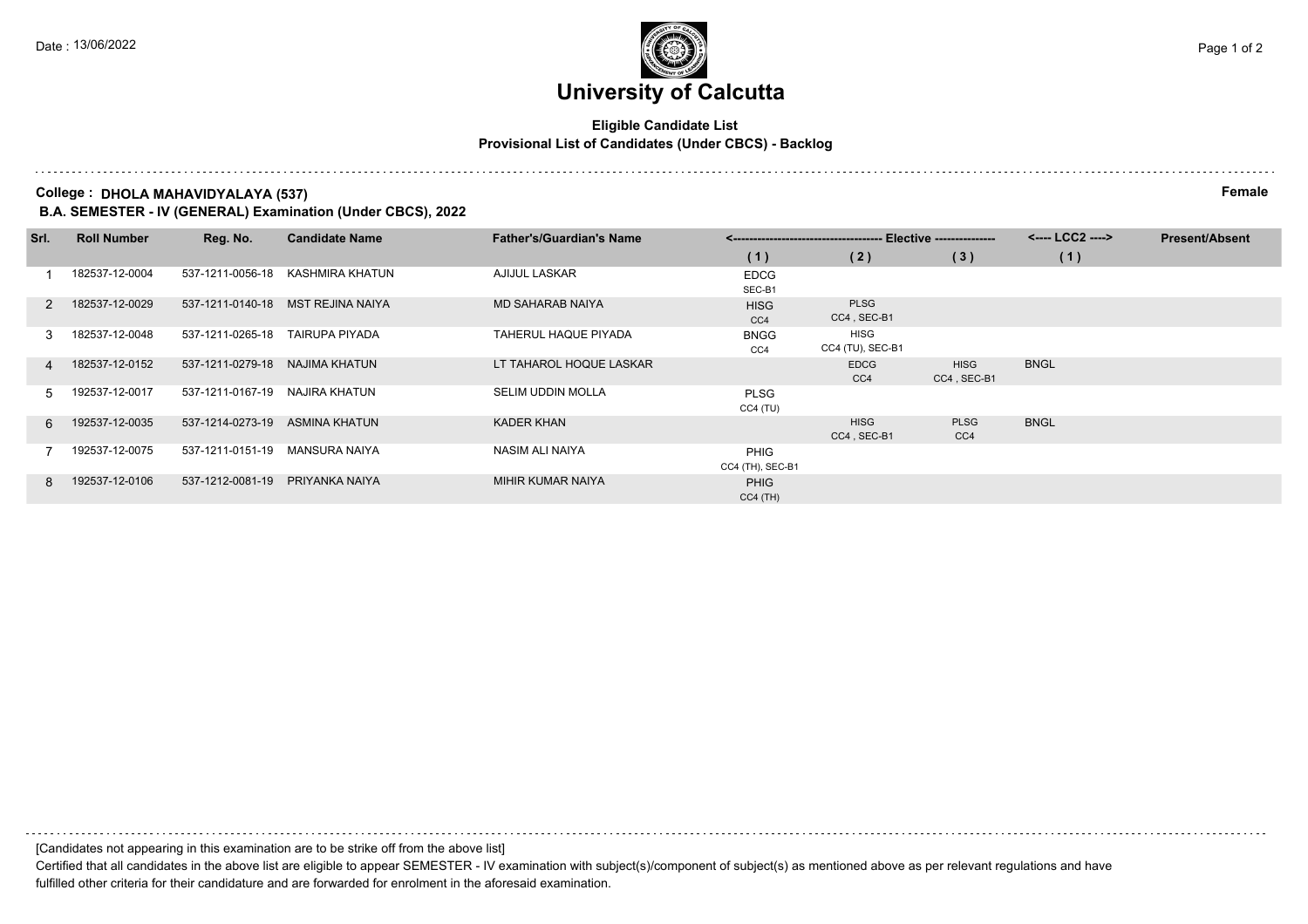### **University of Calcutta**

#### **Eligible Candidate List Provisional List of Candidates (Under CBCS) - Backlog**

**College : DHOLA MAHAVIDYALAYA (537) Female**

**B.A. SEMESTER - IV (GENERAL) Examination (Under CBCS), 2022**

| Srl.          | <b>Roll Number</b> | Reg. No.         | <b>Candidate Name</b> | <b>Father's/Guardian's Name</b> |                                 |                                | <---- LCC2 ---->           | <b>Present/Absent</b> |  |
|---------------|--------------------|------------------|-----------------------|---------------------------------|---------------------------------|--------------------------------|----------------------------|-----------------------|--|
|               |                    |                  |                       |                                 | (1)                             | (2)                            | (3)                        | (1)                   |  |
|               | 182537-12-0004     | 537-1211-0056-18 | KASHMIRA KHATUN       | AJIJUL LASKAR                   | <b>EDCG</b><br>SEC-B1           |                                |                            |                       |  |
| $\mathcal{P}$ | 182537-12-0029     | 537-1211-0140-18 | MST REJINA NAIYA      | <b>MD SAHARAB NAIYA</b>         | <b>HISG</b><br>CC4              | <b>PLSG</b><br>CC4, SEC-B1     |                            |                       |  |
| 3             | 182537-12-0048     | 537-1211-0265-18 | <b>TAIRUPA PIYADA</b> | TAHERUL HAQUE PIYADA            | <b>BNGG</b><br>CC4              | HISG<br>CC4 (TU), SEC-B1       |                            |                       |  |
| 4             | 182537-12-0152     | 537-1211-0279-18 | NAJIMA KHATUN         | LT TAHAROL HOQUE LASKAR         |                                 | <b>EDCG</b><br>CC <sub>4</sub> | <b>HISG</b><br>CC4, SEC-B1 | <b>BNGL</b>           |  |
| 5.            | 192537-12-0017     | 537-1211-0167-19 | NAJIRA KHATUN         | <b>SELIM UDDIN MOLLA</b>        | <b>PLSG</b><br>CC4 (TU)         |                                |                            |                       |  |
| 6.            | 192537-12-0035     | 537-1214-0273-19 | ASMINA KHATUN         | KADER KHAN                      |                                 | <b>HISG</b><br>CC4, SEC-B1     | <b>PLSG</b><br>CC4         | <b>BNGL</b>           |  |
|               | 192537-12-0075     | 537-1211-0151-19 | MANSURA NAIYA         | NASIM ALI NAIYA                 | <b>PHIG</b><br>CC4 (TH), SEC-B1 |                                |                            |                       |  |
| 8             | 192537-12-0106     | 537-1212-0081-19 | PRIYANKA NAIYA        | MIHIR KUMAR NAIYA               | <b>PHIG</b><br>$CC4$ (TH)       |                                |                            |                       |  |

[Candidates not appearing in this examination are to be strike off from the above list]

Certified that all candidates in the above list are eligible to appear SEMESTER - IV examination with subject(s)/component of subject(s) as mentioned above as per relevant regulations and have fulfilled other criteria for their candidature and are forwarded for enrolment in the aforesaid examination.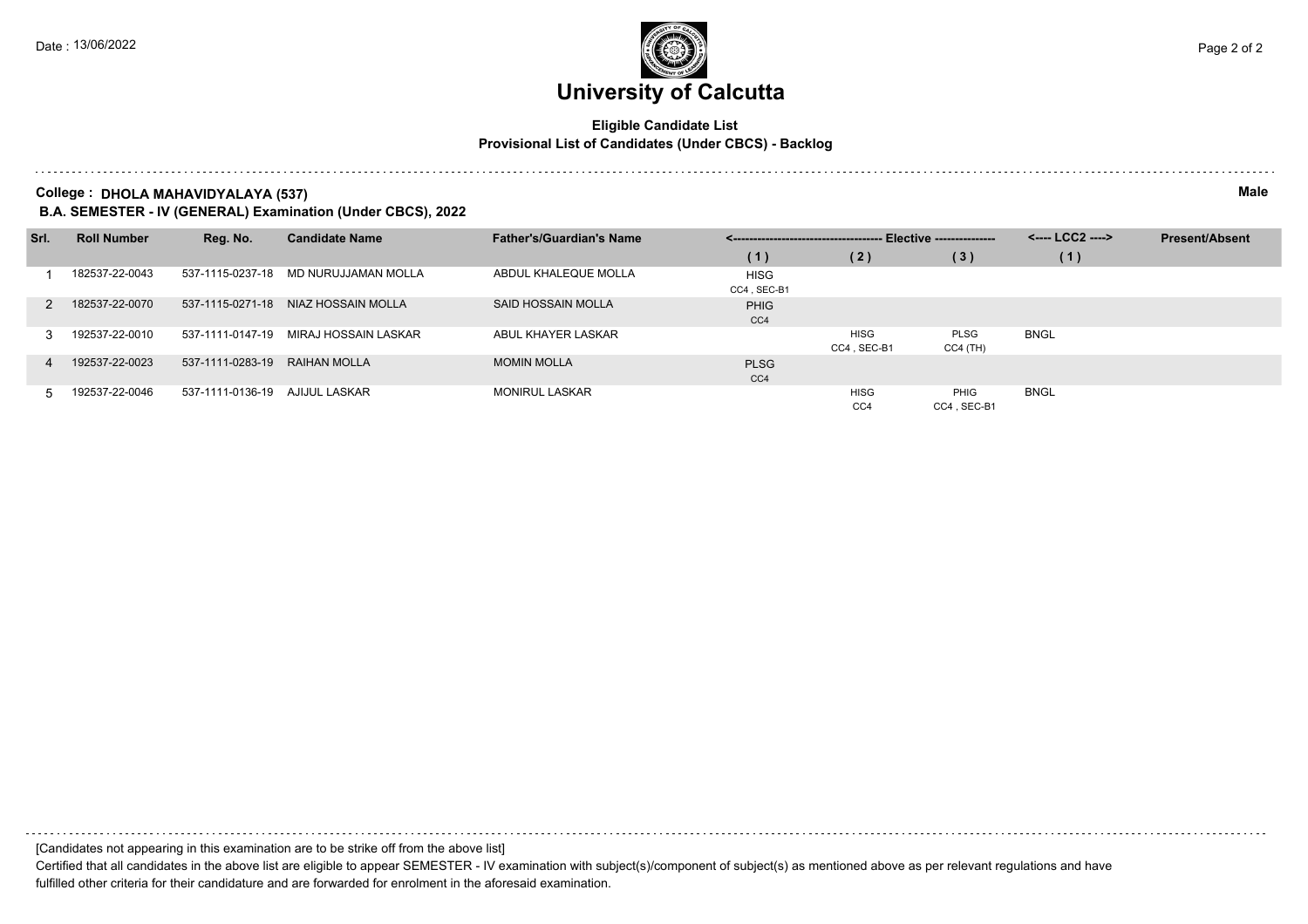## **University of Calcutta**

#### **Eligible Candidate List Provisional List of Candidates (Under CBCS) - Backlog**

**College : DHOLA MAHAVIDYALAYA (537) Male**

**B.A. SEMESTER - IV (GENERAL) Examination (Under CBCS), 2022**

| Srl. | <b>Roll Number</b> | Reg. No.         | <b>Candidate Name</b> | <b>Father's/Guardian's Name</b> | --- Elective ---------------<br>___________________________________ |                 |             | <---- LCC2 ----> | <b>Present/Absent</b> |
|------|--------------------|------------------|-----------------------|---------------------------------|---------------------------------------------------------------------|-----------------|-------------|------------------|-----------------------|
|      |                    |                  |                       |                                 | (1)                                                                 | (2)             | (3)         | (1)              |                       |
|      | 182537-22-0043     | 537-1115-0237-18 | MD NURUJJAMAN MOLLA   | ABDUL KHALEQUE MOLLA            | <b>HISG</b>                                                         |                 |             |                  |                       |
|      |                    |                  |                       |                                 | CC4, SEC-B1                                                         |                 |             |                  |                       |
|      | 182537-22-0070     | 537-1115-0271-18 | NIAZ HOSSAIN MOLLA    | SAID HOSSAIN MOLLA              | <b>PHIG</b>                                                         |                 |             |                  |                       |
|      |                    |                  |                       |                                 | CC4                                                                 |                 |             |                  |                       |
|      | 192537-22-0010     | 537-1111-0147-19 | MIRAJ HOSSAIN LASKAR  | ABUL KHAYER LASKAR              |                                                                     | <b>HISG</b>     | PLSG        | <b>BNGL</b>      |                       |
|      |                    |                  |                       |                                 |                                                                     | CC4, SEC-B1     | $CC4$ (TH)  |                  |                       |
|      | 192537-22-0023     | 537-1111-0283-19 | RAIHAN MOLLA          | <b>MOMIN MOLLA</b>              | <b>PLSG</b>                                                         |                 |             |                  |                       |
|      |                    |                  |                       |                                 | CC <sub>4</sub>                                                     |                 |             |                  |                       |
|      | 192537-22-0046     | 537-1111-0136-19 | AJIJUL LASKAR         | <b>MONIRUL LASKAR</b>           |                                                                     | <b>HISG</b>     | PHIG        | <b>BNGL</b>      |                       |
|      |                    |                  |                       |                                 |                                                                     | CC <sub>4</sub> | CC4, SEC-B1 |                  |                       |

[Candidates not appearing in this examination are to be strike off from the above list]

Certified that all candidates in the above list are eligible to appear SEMESTER - IV examination with subject(s)/component of subject(s) as mentioned above as per relevant regulations and have fulfilled other criteria for their candidature and are forwarded for enrolment in the aforesaid examination.